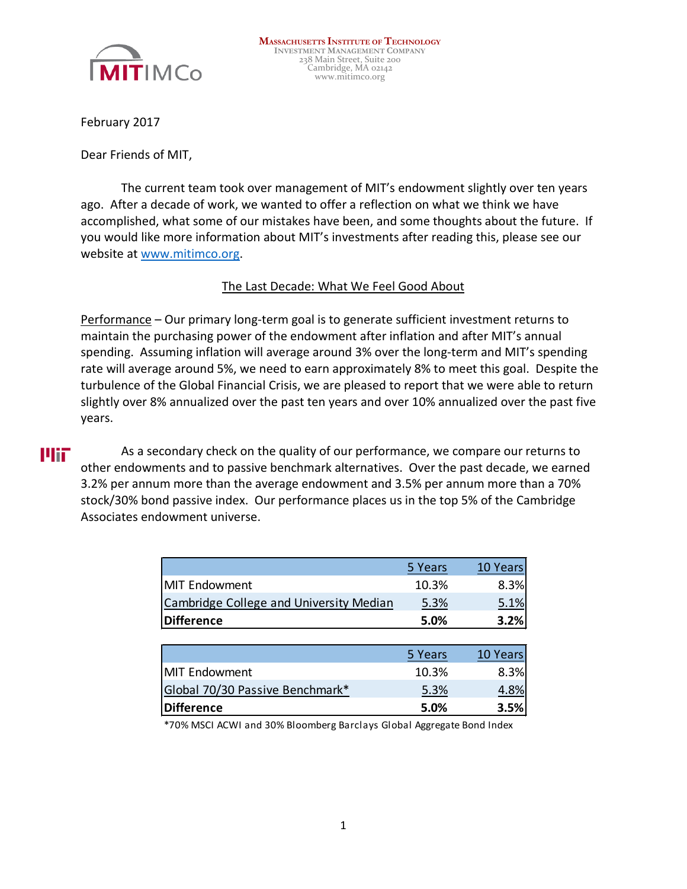

February 2017

Dear Friends of MIT,

The current team took over management of MIT's endowment slightly over ten years ago. After a decade of work, we wanted to offer a reflection on what we think we have accomplished, what some of our mistakes have been, and some thoughts about the future. If you would like more information about MIT's investments after reading this, please see our website at [www.mitimco.org.](http://www.mitimco.org/)

### The Last Decade: What We Feel Good About

Performance – Our primary long-term goal is to generate sufficient investment returns to maintain the purchasing power of the endowment after inflation and after MIT's annual spending. Assuming inflation will average around 3% over the long-term and MIT's spending rate will average around 5%, we need to earn approximately 8% to meet this goal. Despite the turbulence of the Global Financial Crisis, we are pleased to report that we were able to return slightly over 8% annualized over the past ten years and over 10% annualized over the past five years.

## UHT.

As a secondary check on the quality of our performance, we compare our returns to other endowments and to passive benchmark alternatives. Over the past decade, we earned 3.2% per annum more than the average endowment and 3.5% per annum more than a 70% stock/30% bond passive index. Our performance places us in the top 5% of the Cambridge Associates endowment universe.

|                                         | 5 Years | 10 Years |
|-----------------------------------------|---------|----------|
| MIT Endowment                           | 10.3%   | 8.3%     |
| Cambridge College and University Median | 5.3%    | 5.1%     |
| Difference                              | 5.0%    | 3.2%     |

|                                 | 5 Years | 10 Years |
|---------------------------------|---------|----------|
| MIT Endowment                   | 10.3%   | 8.3%     |
| Global 70/30 Passive Benchmark* | 5.3%    |          |
| Difference                      | 5.0%    | 3.5%     |

\*70% MSCI ACWI and 30% Bloomberg Barclays Global Aggregate Bond Index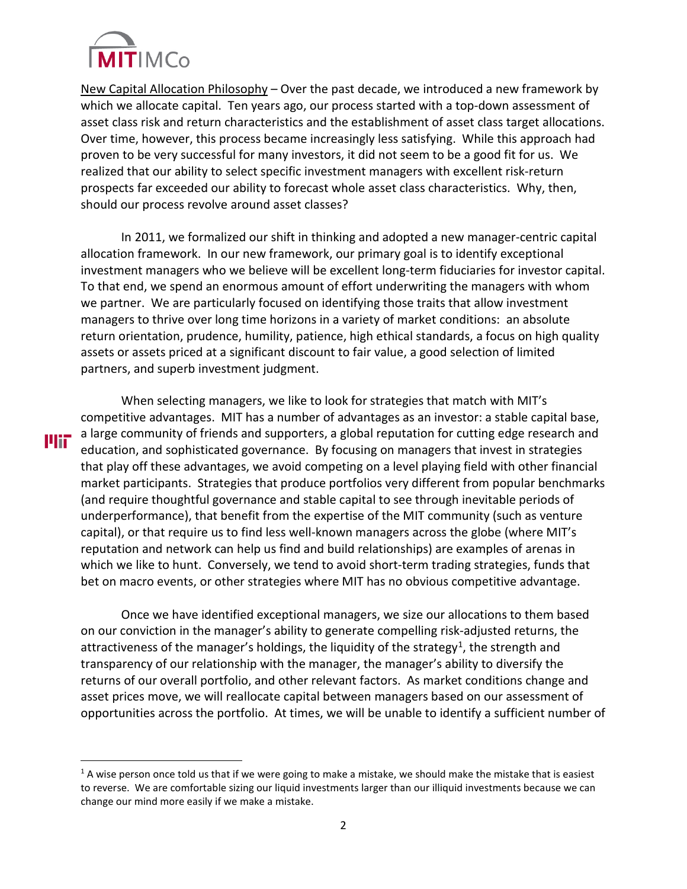

**Plif** 

New Capital Allocation Philosophy – Over the past decade, we introduced a new framework by which we allocate capital. Ten years ago, our process started with a top-down assessment of asset class risk and return characteristics and the establishment of asset class target allocations. Over time, however, this process became increasingly less satisfying. While this approach had proven to be very successful for many investors, it did not seem to be a good fit for us. We realized that our ability to select specific investment managers with excellent risk-return prospects far exceeded our ability to forecast whole asset class characteristics. Why, then, should our process revolve around asset classes?

In 2011, we formalized our shift in thinking and adopted a new manager-centric capital allocation framework. In our new framework, our primary goal is to identify exceptional investment managers who we believe will be excellent long-term fiduciaries for investor capital. To that end, we spend an enormous amount of effort underwriting the managers with whom we partner. We are particularly focused on identifying those traits that allow investment managers to thrive over long time horizons in a variety of market conditions: an absolute return orientation, prudence, humility, patience, high ethical standards, a focus on high quality assets or assets priced at a significant discount to fair value, a good selection of limited partners, and superb investment judgment.

When selecting managers, we like to look for strategies that match with MIT's competitive advantages. MIT has a number of advantages as an investor: a stable capital base, a large community of friends and supporters, a global reputation for cutting edge research and education, and sophisticated governance. By focusing on managers that invest in strategies that play off these advantages, we avoid competing on a level playing field with other financial market participants. Strategies that produce portfolios very different from popular benchmarks (and require thoughtful governance and stable capital to see through inevitable periods of underperformance), that benefit from the expertise of the MIT community (such as venture capital), or that require us to find less well-known managers across the globe (where MIT's reputation and network can help us find and build relationships) are examples of arenas in which we like to hunt. Conversely, we tend to avoid short-term trading strategies, funds that bet on macro events, or other strategies where MIT has no obvious competitive advantage.

Once we have identified exceptional managers, we size our allocations to them based on our conviction in the manager's ability to generate compelling risk-adjusted returns, the attractiveness of the manager's holdings, the liquidity of the strategy<sup>1</sup>, the strength and transparency of our relationship with the manager, the manager's ability to diversify the returns of our overall portfolio, and other relevant factors. As market conditions change and asset prices move, we will reallocate capital between managers based on our assessment of opportunities across the portfolio. At times, we will be unable to identify a sufficient number of

<span id="page-1-0"></span> $1$  A wise person once told us that if we were going to make a mistake, we should make the mistake that is easiest to reverse. We are comfortable sizing our liquid investments larger than our illiquid investments because we can change our mind more easily if we make a mistake.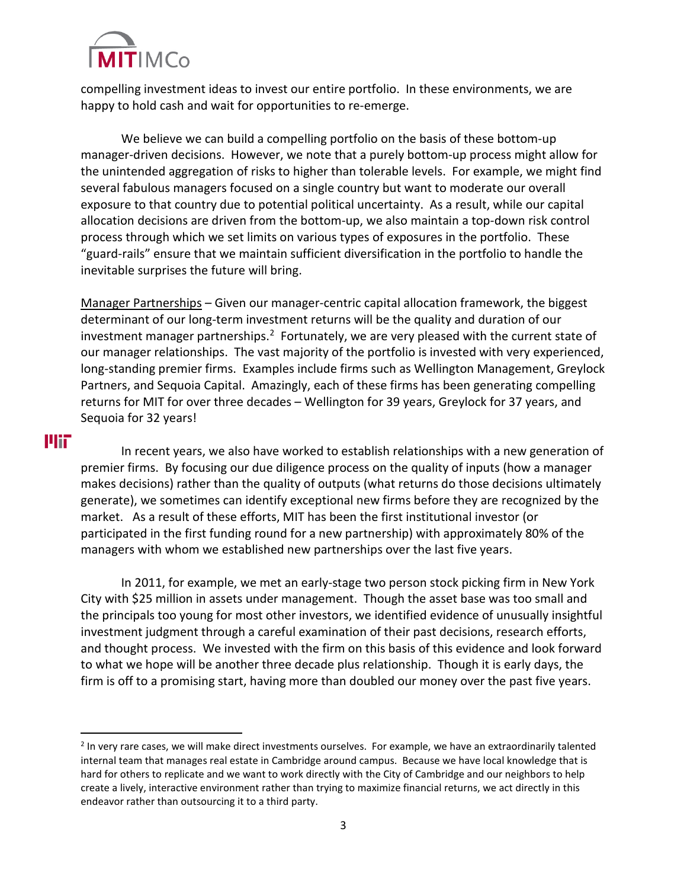

compelling investment ideas to invest our entire portfolio. In these environments, we are happy to hold cash and wait for opportunities to re-emerge.

We believe we can build a compelling portfolio on the basis of these bottom-up manager-driven decisions. However, we note that a purely bottom-up process might allow for the unintended aggregation of risks to higher than tolerable levels. For example, we might find several fabulous managers focused on a single country but want to moderate our overall exposure to that country due to potential political uncertainty. As a result, while our capital allocation decisions are driven from the bottom-up, we also maintain a top-down risk control process through which we set limits on various types of exposures in the portfolio. These "guard-rails" ensure that we maintain sufficient diversification in the portfolio to handle the inevitable surprises the future will bring.

Manager Partnerships – Given our manager-centric capital allocation framework, the biggest determinant of our long-term investment returns will be the quality and duration of our investment manager partnerships.<sup>2</sup> Fortunately, we are very pleased with the current state of our manager relationships. The vast majority of the portfolio is invested with very experienced, long-standing premier firms. Examples include firms such as Wellington Management, Greylock Partners, and Sequoia Capital. Amazingly, each of these firms has been generating compelling returns for MIT for over three decades – Wellington for 39 years, Greylock for 37 years, and Sequoia for 32 years!

# **Plit**

 $\overline{a}$ 

In recent years, we also have worked to establish relationships with a new generation of premier firms. By focusing our due diligence process on the quality of inputs (how a manager makes decisions) rather than the quality of outputs (what returns do those decisions ultimately generate), we sometimes can identify exceptional new firms before they are recognized by the market. As a result of these efforts, MIT has been the first institutional investor (or participated in the first funding round for a new partnership) with approximately 80% of the managers with whom we established new partnerships over the last five years.

In 2011, for example, we met an early-stage two person stock picking firm in New York City with \$25 million in assets under management. Though the asset base was too small and the principals too young for most other investors, we identified evidence of unusually insightful investment judgment through a careful examination of their past decisions, research efforts, and thought process. We invested with the firm on this basis of this evidence and look forward to what we hope will be another three decade plus relationship. Though it is early days, the firm is off to a promising start, having more than doubled our money over the past five years.

<span id="page-2-0"></span><sup>&</sup>lt;sup>2</sup> In very rare cases, we will make direct investments ourselves. For example, we have an extraordinarily talented internal team that manages real estate in Cambridge around campus. Because we have local knowledge that is hard for others to replicate and we want to work directly with the City of Cambridge and our neighbors to help create a lively, interactive environment rather than trying to maximize financial returns, we act directly in this endeavor rather than outsourcing it to a third party.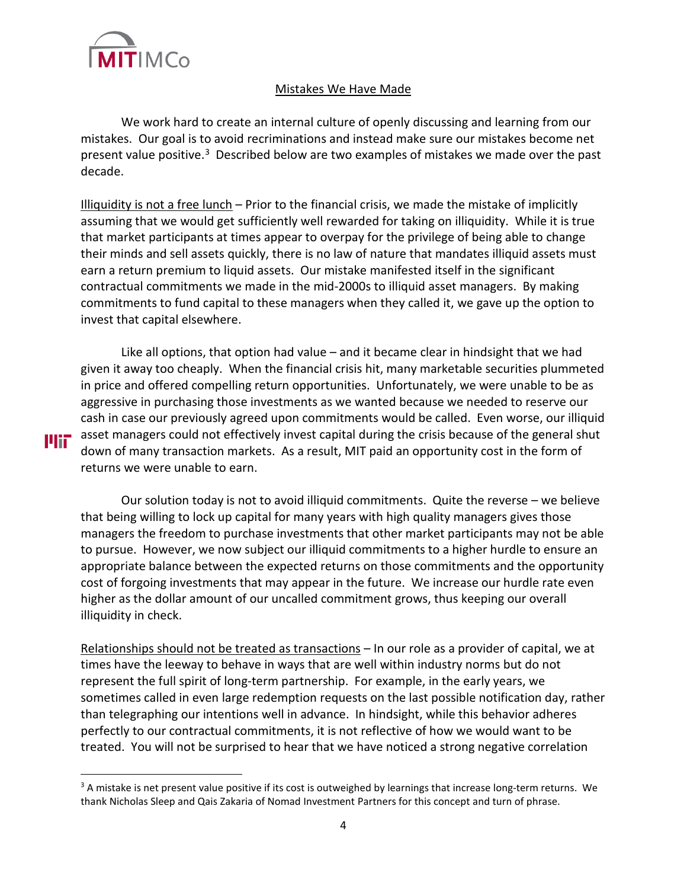

**Plii** 

#### Mistakes We Have Made

We work hard to create an internal culture of openly discussing and learning from our mistakes. Our goal is to avoid recriminations and instead make sure our mistakes become net present value positive.<sup>3</sup> Described below are two examples of mistakes we made over the past decade.

Illiquidity is not a free lunch – Prior to the financial crisis, we made the mistake of implicitly assuming that we would get sufficiently well rewarded for taking on illiquidity. While it is true that market participants at times appear to overpay for the privilege of being able to change their minds and sell assets quickly, there is no law of nature that mandates illiquid assets must earn a return premium to liquid assets. Our mistake manifested itself in the significant contractual commitments we made in the mid-2000s to illiquid asset managers. By making commitments to fund capital to these managers when they called it, we gave up the option to invest that capital elsewhere.

Like all options, that option had value – and it became clear in hindsight that we had given it away too cheaply. When the financial crisis hit, many marketable securities plummeted in price and offered compelling return opportunities. Unfortunately, we were unable to be as aggressive in purchasing those investments as we wanted because we needed to reserve our cash in case our previously agreed upon commitments would be called. Even worse, our illiquid asset managers could not effectively invest capital during the crisis because of the general shut down of many transaction markets. As a result, MIT paid an opportunity cost in the form of returns we were unable to earn.

Our solution today is not to avoid illiquid commitments. Quite the reverse – we believe that being willing to lock up capital for many years with high quality managers gives those managers the freedom to purchase investments that other market participants may not be able to pursue. However, we now subject our illiquid commitments to a higher hurdle to ensure an appropriate balance between the expected returns on those commitments and the opportunity cost of forgoing investments that may appear in the future. We increase our hurdle rate even higher as the dollar amount of our uncalled commitment grows, thus keeping our overall illiquidity in check.

Relationships should not be treated as transactions – In our role as a provider of capital, we at times have the leeway to behave in ways that are well within industry norms but do not represent the full spirit of long-term partnership. For example, in the early years, we sometimes called in even large redemption requests on the last possible notification day, rather than telegraphing our intentions well in advance. In hindsight, while this behavior adheres perfectly to our contractual commitments, it is not reflective of how we would want to be treated. You will not be surprised to hear that we have noticed a strong negative correlation

<span id="page-3-0"></span> $3$  A mistake is net present value positive if its cost is outweighed by learnings that increase long-term returns. We thank Nicholas Sleep and Qais Zakaria of Nomad Investment Partners for this concept and turn of phrase.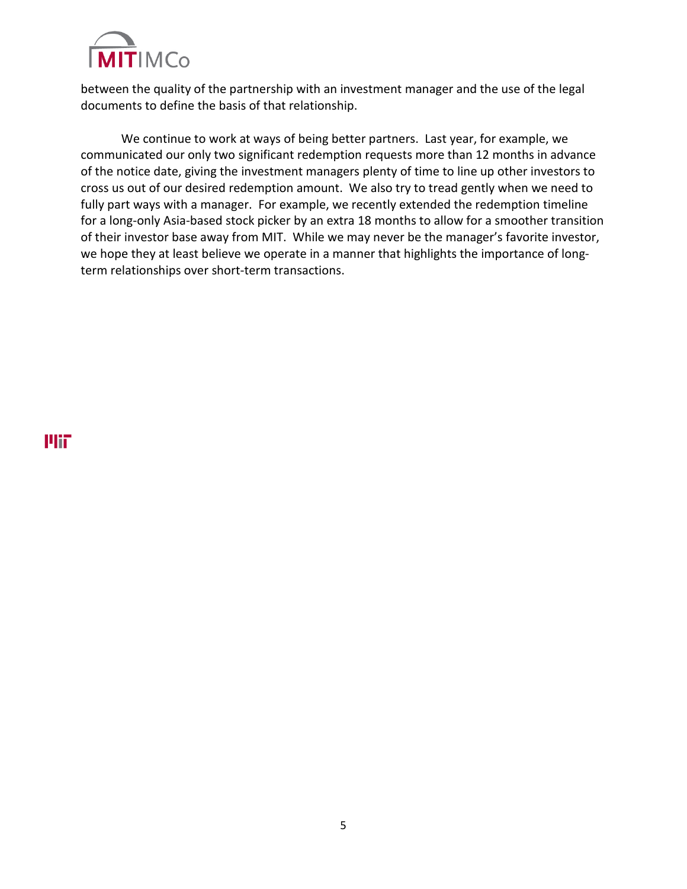

between the quality of the partnership with an investment manager and the use of the legal documents to define the basis of that relationship.

We continue to work at ways of being better partners. Last year, for example, we communicated our only two significant redemption requests more than 12 months in advance of the notice date, giving the investment managers plenty of time to line up other investors to cross us out of our desired redemption amount. We also try to tread gently when we need to fully part ways with a manager. For example, we recently extended the redemption timeline for a long-only Asia-based stock picker by an extra 18 months to allow for a smoother transition of their investor base away from MIT. While we may never be the manager's favorite investor, we hope they at least believe we operate in a manner that highlights the importance of longterm relationships over short-term transactions.

**Plit**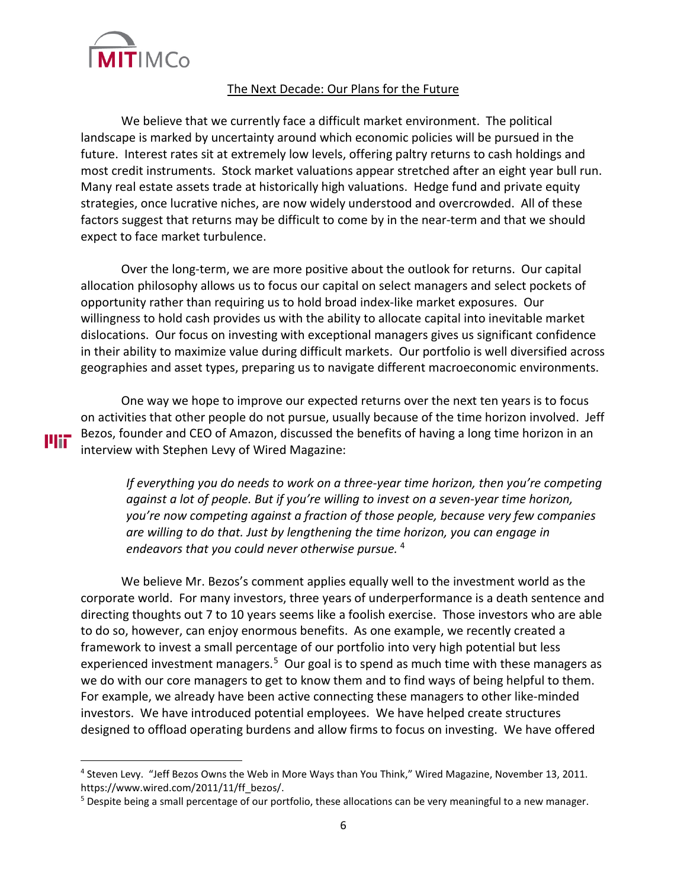

**Plif** 

#### The Next Decade: Our Plans for the Future

We believe that we currently face a difficult market environment. The political landscape is marked by uncertainty around which economic policies will be pursued in the future. Interest rates sit at extremely low levels, offering paltry returns to cash holdings and most credit instruments. Stock market valuations appear stretched after an eight year bull run. Many real estate assets trade at historically high valuations. Hedge fund and private equity strategies, once lucrative niches, are now widely understood and overcrowded. All of these factors suggest that returns may be difficult to come by in the near-term and that we should expect to face market turbulence.

Over the long-term, we are more positive about the outlook for returns. Our capital allocation philosophy allows us to focus our capital on select managers and select pockets of opportunity rather than requiring us to hold broad index-like market exposures. Our willingness to hold cash provides us with the ability to allocate capital into inevitable market dislocations. Our focus on investing with exceptional managers gives us significant confidence in their ability to maximize value during difficult markets. Our portfolio is well diversified across geographies and asset types, preparing us to navigate different macroeconomic environments.

One way we hope to improve our expected returns over the next ten years is to focus on activities that other people do not pursue, usually because of the time horizon involved. Jeff Bezos, founder and CEO of Amazon, discussed the benefits of having a long time horizon in an interview with Stephen Levy of Wired Magazine:

*If everything you do needs to work on a three-year time horizon, then you're competing against a lot of people. But if you're willing to invest on a seven-year time horizon, you're now competing against a fraction of those people, because very few companies are willing to do that. Just by lengthening the time horizon, you can engage in endeavors that you could never otherwise pursue.* [4](#page-5-0)

We believe Mr. Bezos's comment applies equally well to the investment world as the corporate world. For many investors, three years of underperformance is a death sentence and directing thoughts out 7 to 10 years seems like a foolish exercise. Those investors who are able to do so, however, can enjoy enormous benefits. As one example, we recently created a framework to invest a small percentage of our portfolio into very high potential but less experienced investment managers.<sup>[5](#page-5-1)</sup> Our goal is to spend as much time with these managers as we do with our core managers to get to know them and to find ways of being helpful to them. For example, we already have been active connecting these managers to other like-minded investors. We have introduced potential employees. We have helped create structures designed to offload operating burdens and allow firms to focus on investing. We have offered

<span id="page-5-0"></span><sup>4</sup> Steven Levy. "Jeff Bezos Owns the Web in More Ways than You Think," Wired Magazine, November 13, 2011. https://www.wired.com/2011/11/ff\_bezos/.

<span id="page-5-1"></span><sup>&</sup>lt;sup>5</sup> Despite being a small percentage of our portfolio, these allocations can be very meaningful to a new manager.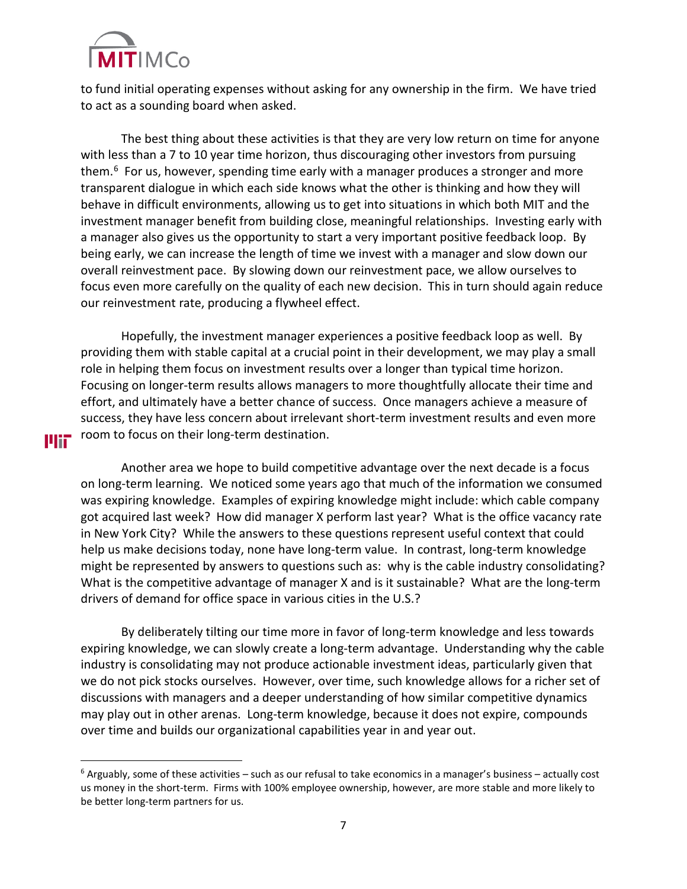

шт

to fund initial operating expenses without asking for any ownership in the firm. We have tried to act as a sounding board when asked.

The best thing about these activities is that they are very low return on time for anyone with less than a 7 to 10 year time horizon, thus discouraging other investors from pursuing them.<sup>[6](#page-6-0)</sup> For us, however, spending time early with a manager produces a stronger and more transparent dialogue in which each side knows what the other is thinking and how they will behave in difficult environments, allowing us to get into situations in which both MIT and the investment manager benefit from building close, meaningful relationships. Investing early with a manager also gives us the opportunity to start a very important positive feedback loop. By being early, we can increase the length of time we invest with a manager and slow down our overall reinvestment pace. By slowing down our reinvestment pace, we allow ourselves to focus even more carefully on the quality of each new decision. This in turn should again reduce our reinvestment rate, producing a flywheel effect.

Hopefully, the investment manager experiences a positive feedback loop as well. By providing them with stable capital at a crucial point in their development, we may play a small role in helping them focus on investment results over a longer than typical time horizon. Focusing on longer-term results allows managers to more thoughtfully allocate their time and effort, and ultimately have a better chance of success. Once managers achieve a measure of success, they have less concern about irrelevant short-term investment results and even more room to focus on their long-term destination.

Another area we hope to build competitive advantage over the next decade is a focus on long-term learning. We noticed some years ago that much of the information we consumed was expiring knowledge. Examples of expiring knowledge might include: which cable company got acquired last week? How did manager X perform last year? What is the office vacancy rate in New York City? While the answers to these questions represent useful context that could help us make decisions today, none have long-term value. In contrast, long-term knowledge might be represented by answers to questions such as: why is the cable industry consolidating? What is the competitive advantage of manager X and is it sustainable? What are the long-term drivers of demand for office space in various cities in the U.S.?

By deliberately tilting our time more in favor of long-term knowledge and less towards expiring knowledge, we can slowly create a long-term advantage. Understanding why the cable industry is consolidating may not produce actionable investment ideas, particularly given that we do not pick stocks ourselves. However, over time, such knowledge allows for a richer set of discussions with managers and a deeper understanding of how similar competitive dynamics may play out in other arenas. Long-term knowledge, because it does not expire, compounds over time and builds our organizational capabilities year in and year out.

<span id="page-6-0"></span> $6$  Arguably, some of these activities – such as our refusal to take economics in a manager's business – actually cost us money in the short-term. Firms with 100% employee ownership, however, are more stable and more likely to be better long-term partners for us.